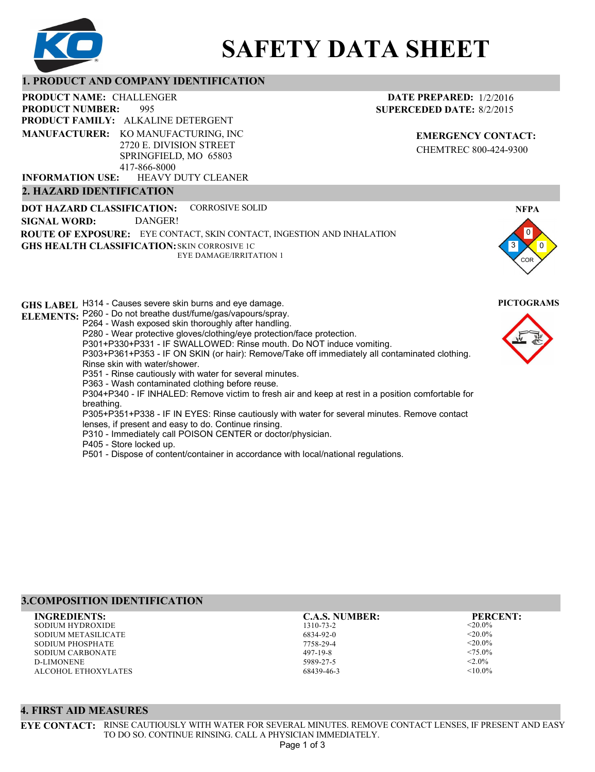

# **SAFETY DATA SHEET**

#### **1. PRODUCT AND COMPANY IDENTIFICATION**

995 PRODUCT NAME: CHALLENGER **PRODUCT FAMILY: ALKALINE DETERGENT** HEAVY DUTY CLEANER **PRODUCT NUMBER: MANUFACTURER:** KO MANUFACTURING, INC 2720 E. DIVISION STREET SPRINGFIELD, MO 65803 417-866-8000 **INFORMATION USE:**

# **2. HAZARD IDENTIFICATION**

**DOT HAZARD CLASSIFICATION: GHS HEALTH CLASSIFICATION:** SKIN CORROSIVE 1C **ROUTE OF EXPOSURE:** EYE CONTACT, SKIN CONTACT, INGESTION AND INHALATION CORROSIVE SOLID EYE DAMAGE/IRRITATION 1 **SIGNAL WORD:** DANGER!

**GHS LABEL**  H314 - Causes severe skin burns and eye damage. **PICTOGRAMS ELEMENTS:** P260 - Do not breathe dust/fume/gas/vapours/spray. P264 - Wash exposed skin thoroughly after handling. P280 - Wear protective gloves/clothing/eye protection/face protection. P301+P330+P331 - IF SWALLOWED: Rinse mouth. Do NOT induce vomiting. P303+P361+P353 - IF ON SKIN (or hair): Remove/Take off immediately all contaminated clothing. Rinse skin with water/shower. P351 - Rinse cautiously with water for several minutes. P363 - Wash contaminated clothing before reuse. P304+P340 - IF INHALED: Remove victim to fresh air and keep at rest in a position comfortable for breathing. P305+P351+P338 - IF IN EYES: Rinse cautiously with water for several minutes. Remove contact lenses, if present and easy to do. Continue rinsing. P310 - Immediately call POISON CENTER or doctor/physician. P405 - Store locked up. P501 - Dispose of content/container in accordance with local/national regulations.

# **3.COMPOSITION IDENTIFICATION**

SODIUM HYDROXIDE SODIUM METASILICATE SODIUM PHOSPHATE SODIUM CARBONATE D-LIMONENE ALCOHOL ETHOXYLATES **INGREDIENTS: C.A.S. NUMBER: PERCENT:**

#### 1310-73-2 6834-92-0 7758-29-4 497-19-8

5989-27-5 68439-46-3

<20.0%  $< 20.0\%$  $<$ 20.0%  $<75.0\%$  $< 2.0\%$  $< 10.0\%$ 

# **EMERGENCY CONTACT:**

**DATE PREPARED:** 1/2/2016 **SUPERCEDED DATE:** 8/2/2015

CHEMTREC 800-424-9300



3

0 0

**NFPA**

COR

# **4. FIRST AID MEASURES**

**EYE CONTACT:** RINSE CAUTIOUSLY WITH WATER FOR SEVERAL MINUTES. REMOVE CONTACT LENSES, IF PRESENT AND EASY TO DO SO. CONTINUE RINSING. CALL A PHYSICIAN IMMEDIATELY.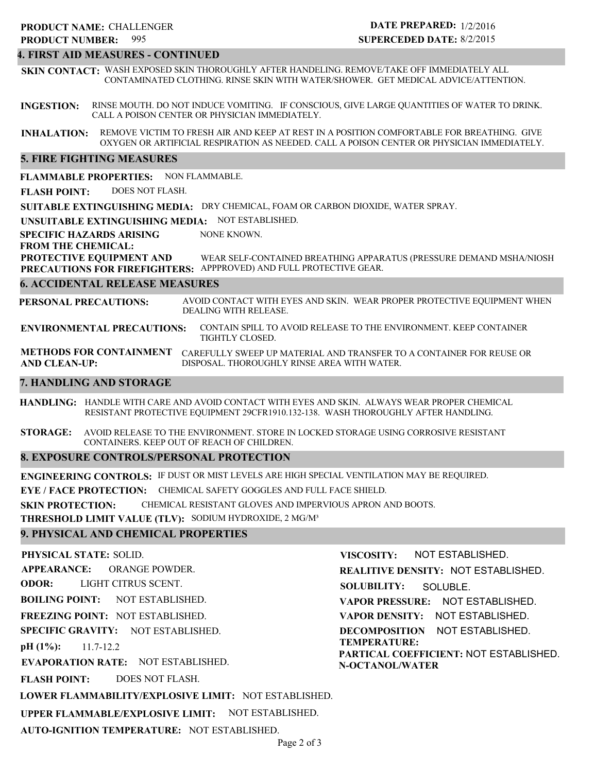# **PRODUCT NAME: CHALLENGER**

#### 995 **PRODUCT NUMBER:**

# **DATE PREPARED:** 1/2/2016 **SUPERCEDED DATE:** 8/2/2015

### **4. FIRST AID MEASURES - CONTINUED**

**SKIN CONTACT:** WASH EXPOSED SKIN THOROUGHLY AFTER HANDELING. REMOVE/TAKE OFF IMMEDIATELY ALL CONTAMINATED CLOTHING. RINSE SKIN WITH WATER/SHOWER. GET MEDICAL ADVICE/ATTENTION.

**INGESTION:** RINSE MOUTH. DO NOT INDUCE VOMITING. IF CONSCIOUS, GIVE LARGE QUANTITIES OF WATER TO DRINK. CALL A POISON CENTER OR PHYSICIAN IMMEDIATELY.

**INHALATION:** REMOVE VICTIM TO FRESH AIR AND KEEP AT REST IN A POSITION COMFORTABLE FOR BREATHING. GIVE OXYGEN OR ARTIFICIAL RESPIRATION AS NEEDED. CALL A POISON CENTER OR PHYSICIAN IMMEDIATELY.

## **5. FIRE FIGHTING MEASURES**

**FLAMMABLE PROPERTIES:** NON FLAMMABLE.

**FLASH POINT:** DOES NOT FLASH.

**SUITABLE EXTINGUISHING MEDIA:** DRY CHEMICAL, FOAM OR CARBON DIOXIDE, WATER SPRAY.

**UNSUITABLE EXTINGUISHING MEDIA:** NOT ESTABLISHED.

**SPECIFIC HAZARDS ARISING** NONE KNOWN.

#### **FROM THE CHEMICAL:**

**PROTECTIVE EQUIPMENT AND PRECAUTIONS FOR FIREFIGHTERS:** APPPROVED) AND FULL PROTECTIVE GEAR. WEAR SELF-CONTAINED BREATHING APPARATUS (PRESSURE DEMAND MSHA/NIOSH

#### **6. ACCIDENTAL RELEASE MEASURES**

**PERSONAL PRECAUTIONS:** AVOID CONTACT WITH EYES AND SKIN. WEAR PROPER PROTECTIVE EQUIPMENT WHEN DEALING WITH RELEASE.

**ENVIRONMENTAL PRECAUTIONS:** CONTAIN SPILL TO AVOID RELEASE TO THE ENVIRONMENT. KEEP CONTAINER TIGHTLY CLOSED.

**METHODS FOR CONTAINMENT** CAREFULLY SWEEP UP MATERIAL AND TRANSFER TO A CONTAINER FOR REUSE OR **AND CLEAN-UP:** DISPOSAL. THOROUGHLY RINSE AREA WITH WATER.

#### **7. HANDLING AND STORAGE**

**HANDLING:** HANDLE WITH CARE AND AVOID CONTACT WITH EYES AND SKIN. ALWAYS WEAR PROPER CHEMICAL RESISTANT PROTECTIVE EQUIPMENT 29CFR1910.132-138. WASH THOROUGHLY AFTER HANDLING.

**STORAGE:** AVOID RELEASE TO THE ENVIRONMENT. STORE IN LOCKED STORAGE USING CORROSIVE RESISTANT CONTAINERS. KEEP OUT OF REACH OF CHILDREN.

#### **8. EXPOSURE CONTROLS/PERSONAL PROTECTION**

**ENGINEERING CONTROLS:** IF DUST OR MIST LEVELS ARE HIGH SPECIAL VENTILATION MAY BE REQUIRED.

**EYE / FACE PROTECTION:** CHEMICAL SAFETY GOGGLES AND FULL FACE SHIELD.

**SKIN PROTECTION:** CHEMICAL RESISTANT GLOVES AND IMPERVIOUS APRON AND BOOTS.

**THRESHOLD LIMIT VALUE (TLV):** SODIUM HYDROXIDE, 2 MG/M³

#### **9. PHYSICAL AND CHEMICAL PROPERTIES**

**PHYSICAL STATE:** SOLID. **APPEARANCE: ODOR: BOILING POINT: FREEZING POINT:** NOT ESTABLISHED. **SPECIFIC GRAVITY:** NOT ESTABLISHED. **pH (1%): EVAPORATION RATE:** NOT ESTABLISHED. **FLASH POINT: LOWER FLAMMABILITY/EXPLOSIVE LIMIT:** NOT ESTABLISHED. **UPPER FLAMMABLE/EXPLOSIVE LIMIT:** NOT ESTABLISHED. NOT ESTABLISHED. 11.7-12.2 DOES NOT FLASH. ORANGE POWDER. LIGHT CITRUS SCENT. **VISCOSITY: REALITIVE DENSITY:** NOT ESTABLISHED. **SOLUBILITY: VAPOR PRESSURE:** NOT ESTABLISHED. **VAPOR DENSITY:** NOT ESTABLISHED. **DECOMPOSITION** NOT ESTABLISHED. **TEMPERATURE: PARTICAL COEFFICIENT:** NOT ESTABLISHED. **N-OCTANOL/WATER** NOT ESTABLISHED. SOLUBLE.

**AUTO-IGNITION TEMPERATURE:** NOT ESTABLISHED.